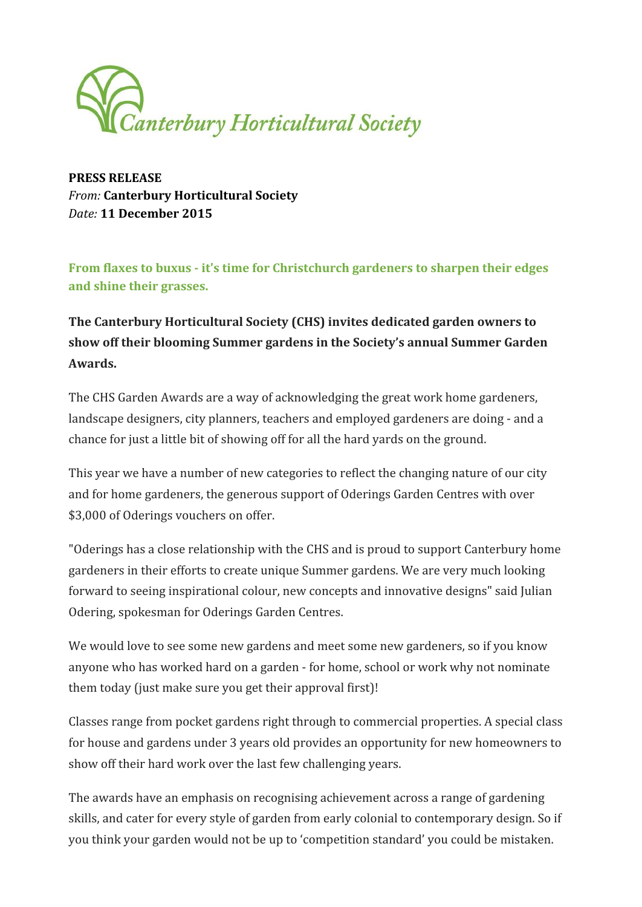

**PRESS RELEASE** *From:* **Canterbury Horticultural Society** *Date:* **11 December 2015**

**From flaxes to buxus - it's time for Christchurch gardeners to sharpen their edges and shine their grasses.**

**The Canterbury Horticultural Society (CHS) invites dedicated garden owners to show off their blooming Summer gardens in the Society's annual Summer Garden Awards.**

The CHS Garden Awards are a way of acknowledging the great work home gardeners, landscape designers, city planners, teachers and employed gardeners are doing - and a chance for just a little bit of showing off for all the hard yards on the ground.

This year we have a number of new categories to reflect the changing nature of our city and for home gardeners, the generous support of Oderings Garden Centres with over \$3,000 of Oderings vouchers on offer.

"Oderings has a close relationship with the CHS and is proud to support Canterbury home gardeners in their efforts to create unique Summer gardens. We are very much looking forward to seeing inspirational colour, new concepts and innovative designs" said Julian Odering, spokesman for Oderings Garden Centres.

We would love to see some new gardens and meet some new gardeners, so if you know anyone who has worked hard on a garden - for home, school or work why not nominate them today (just make sure you get their approval first)!

Classes range from pocket gardens right through to commercial properties. A special class for house and gardens under 3 years old provides an opportunity for new homeowners to show off their hard work over the last few challenging years.

The awards have an emphasis on recognising achievement across a range of gardening skills, and cater for every style of garden from early colonial to contemporary design. So if you think your garden would not be up to 'competition standard' you could be mistaken.